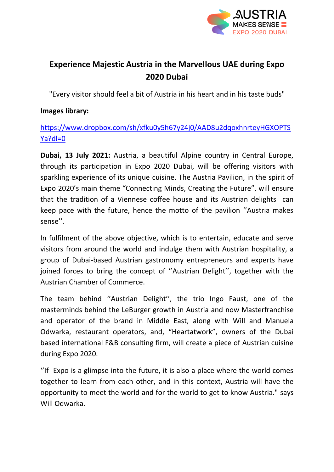

# **Experience Majestic Austria in the Marvellous UAE during Expo 2020 Dubai**

"Every visitor should feel a bit of Austria in his heart and in his taste buds"

#### **Images library:**

## [https://www.dropbox.com/sh/xfku0y5h67y24j0/AAD8u2dqoxhnrteyHGXOPTS](https://www.dropbox.com/sh/xfku0y5h67y24j0/AAD8u2dqoxhnrteyHGXOPTSYa?dl=0) [Ya?dl=0](https://www.dropbox.com/sh/xfku0y5h67y24j0/AAD8u2dqoxhnrteyHGXOPTSYa?dl=0)

**Dubai, 13 July 2021:** Austria, a beautiful Alpine country in Central Europe, through its participation in Expo 2020 Dubai, will be offering visitors with sparkling experience of its unique cuisine. The Austria Pavilion, in the spirit of Expo 2020's main theme "Connecting Minds, Creating the Future", will ensure that the tradition of a Viennese coffee house and its Austrian delights can keep pace with the future, hence the motto of the pavilion ''Austria makes sense''.

In fulfilment of the above objective, which is to entertain, educate and serve visitors from around the world and indulge them with Austrian hospitality, a group of Dubai-based Austrian gastronomy entrepreneurs and experts have joined forces to bring the concept of ''Austrian Delight'', together with the Austrian Chamber of Commerce.

The team behind ''Austrian Delight'', the trio Ingo Faust, one of the masterminds behind the LeBurger growth in Austria and now Masterfranchise and operator of the brand in Middle East, along with Will and Manuela Odwarka, restaurant operators, and, "Heartatwork", owners of the Dubai based international F&B consulting firm, will create a piece of Austrian cuisine during Expo 2020.

''If Expo is a glimpse into the future, it is also a place where the world comes together to learn from each other, and in this context, Austria will have the opportunity to meet the world and for the world to get to know Austria." says Will Odwarka.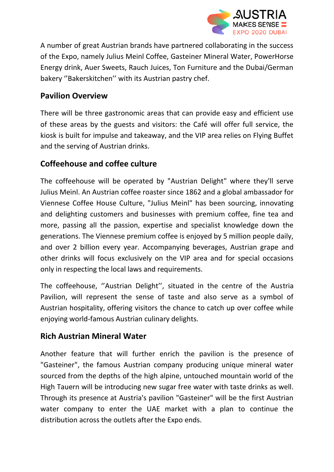

A number of great Austrian brands have partnered collaborating in the success of the Expo, namely Julius Meinl Coffee, Gasteiner Mineral Water, PowerHorse Energy drink, Auer Sweets, Rauch Juices, Ton Furniture and the Dubai/German bakery ''Bakerskitchen'' with its Austrian pastry chef.

## **Pavilion Overview**

There will be three gastronomic areas that can provide easy and efficient use of these areas by the guests and visitors: the Café will offer full service, the kiosk is built for impulse and takeaway, and the VIP area relies on Flying Buffet and the serving of Austrian drinks.

## **Coffeehouse and coffee culture**

The coffeehouse will be operated by "Austrian Delight" where they'll serve Julius Meinl. An Austrian coffee roaster since 1862 and a global ambassador for Viennese Coffee House Culture, "Julius Meinl" has been sourcing, innovating and delighting customers and businesses with premium coffee, fine tea and more, passing all the passion, expertise and specialist knowledge down the generations. The Viennese premium coffee is enjoyed by 5 million people daily, and over 2 billion every year. Accompanying beverages, Austrian grape and other drinks will focus exclusively on the VIP area and for special occasions only in respecting the local laws and requirements.

The coffeehouse, ''Austrian Delight'', situated in the centre of the Austria Pavilion, will represent the sense of taste and also serve as a symbol of Austrian hospitality, offering visitors the chance to catch up over coffee while enjoying world-famous Austrian culinary delights.

#### **Rich Austrian Mineral Water**

Another feature that will further enrich the pavilion is the presence of "Gasteiner", the famous Austrian company producing unique mineral water sourced from the depths of the high alpine, untouched mountain world of the High Tauern will be introducing new sugar free water with taste drinks as well. Through its presence at Austria's pavilion "Gasteiner" will be the first Austrian water company to enter the UAE market with a plan to continue the distribution across the outlets after the Expo ends.